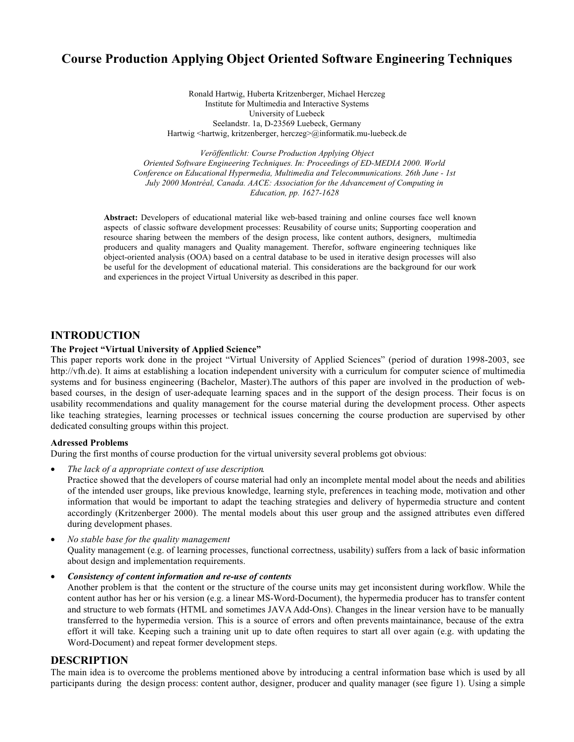# **Course Production Applying Object Oriented Software Engineering Techniques**

Ronald Hartwig, Huberta Kritzenberger, Michael Herczeg Institute for Multimedia and Interactive Systems University of Luebeck Seelandstr. 1a, D-23569 Luebeck, Germany Hartwig <hartwig, kritzenberger, herczeg>@informatik.mu-luebeck.de

Veröffentlicht: Course Production Applying Object Oriented Software Engineering Techniques. In: Proceedings of ED-MEDIA 2000. World Conference on Educational Hypermedia, Multimedia and Telecommunications. 26th June - 1st July 2000 Montréal, Canada. AACE: Association for the Advancement of Computing in Education, pp. 1627-1628

Abstract: Developers of educational material like web-based training and online courses face well known aspects of classic software development processes: Reusability of course units; Supporting cooperation and resource sharing between the members of the design process, like content authors, designers, multimedia producers and quality managers and Quality management. Therefor, software engineering techniques like object-oriented analysis (OOA) based on a central database to be used in iterative design processes will also be useful for the development of educational material. This considerations are the background for our work and experiences in the project Virtual University as described in this paper.

## **INTRODUCTION**

#### The Project "Virtual University of Applied Science"

This paper reports work done in the project "Virtual University of Applied Sciences" (period of duration 1998-2003, see http://vfh.de). It aims at establishing a location independent university with a curriculum for computer science of multimedia systems and for business engineering (Bachelor, Master). The authors of this paper are involved in the production of webbased courses, in the design of user-adequate learning spaces and in the support of the design process. Their focus is on usability recommendations and quality management for the course material during the development process. Other aspects like teaching strategies, learning processes or technical issues concerning the course production are supervised by other dedicated consulting groups within this project.

#### **Adressed Problems**

During the first months of course production for the virtual university several problems got obvious:

The lack of a appropriate context of use description.

Practice showed that the developers of course material had only an incomplete mental model about the needs and abilities of the intended user groups, like previous knowledge, learning style, preferences in teaching mode, motivation and other information that would be important to adapt the teaching strategies and delivery of hypermedia structure and content accordingly (Kritzenberger 2000). The mental models about this user group and the assigned attributes even differed during development phases.

- No stable base for the quality management Quality management (e.g. of learning processes, functional correctness, usability) suffers from a lack of basic information about design and implementation requirements.
- Consistency of content information and re-use of contents

Another problem is that the content or the structure of the course units may get inconsistent during workflow. While the content author has her or his version (e.g. a linear MS-Word-Document), the hypermedia producer has to transfer content and structure to web formats (HTML and sometimes JAVA Add-Ons). Changes in the linear version have to be manually transferred to the hypermedia version. This is a source of errors and often prevents maintainance, because of the extra effort it will take. Keeping such a training unit up to date often requires to start all over again (e.g. with updating the Word-Document) and repeat former development steps.

### **DESCRIPTION**

The main idea is to overcome the problems mentioned above by introducing a central information base which is used by all participants during the design process: content author, designer, producer and quality manager (see figure 1). Using a simple